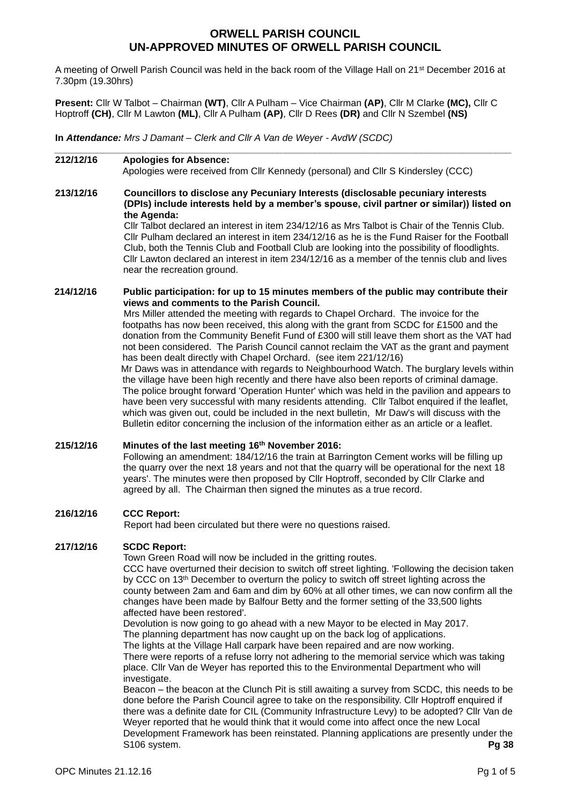# **ORWELL PARISH COUNCIL UN-APPROVED MINUTES OF ORWELL PARISH COUNCIL**

A meeting of Orwell Parish Council was held in the back room of the Village Hall on 21<sup>st</sup> December 2016 at 7.30pm (19.30hrs)

**Present:** Cllr W Talbot – Chairman **(WT)**, Cllr A Pulham – Vice Chairman **(AP)**, Cllr M Clarke **(MC),** Cllr C Hoptroff **(CH)**, Cllr M Lawton **(ML)**, Cllr A Pulham **(AP)**, Cllr D Rees **(DR)** and Cllr N Szembel **(NS)**

**In** *Attendance: Mrs J Damant – Clerk and Cllr A Van de Weyer - AvdW (SCDC)* 

# **212/12/16 Apologies for Absence:**

Apologies were received from Cllr Kennedy (personal) and Cllr S Kindersley (CCC)

*\_\_\_\_\_\_\_\_\_\_\_\_\_\_\_\_\_\_\_\_\_\_\_\_\_\_\_\_\_\_\_\_\_\_\_\_\_\_\_\_\_\_\_\_\_\_\_\_\_\_\_\_\_\_\_\_\_\_\_\_\_\_\_\_\_\_\_\_\_\_\_\_\_\_\_\_\_\_\_\_\_\_\_\_\_\_*

## **213/12/16 Councillors to disclose any Pecuniary Interests (disclosable pecuniary interests (DPIs) include interests held by a member's spouse, civil partner or similar)) listed on the Agenda:**

Cllr Talbot declared an interest in item 234/12/16 as Mrs Talbot is Chair of the Tennis Club. Cllr Pulham declared an interest in item 234/12/16 as he is the Fund Raiser for the Football Club, both the Tennis Club and Football Club are looking into the possibility of floodlights. Cllr Lawton declared an interest in item 234/12/16 as a member of the tennis club and lives near the recreation ground.

## **214/12/16 Public participation: for up to 15 minutes members of the public may contribute their views and comments to the Parish Council.**

Mrs Miller attended the meeting with regards to Chapel Orchard. The invoice for the footpaths has now been received, this along with the grant from SCDC for £1500 and the donation from the Community Benefit Fund of £300 will still leave them short as the VAT had not been considered. The Parish Council cannot reclaim the VAT as the grant and payment has been dealt directly with Chapel Orchard. (see item 221/12/16)

Mr Daws was in attendance with regards to Neighbourhood Watch. The burglary levels within the village have been high recently and there have also been reports of criminal damage. The police brought forward 'Operation Hunter' which was held in the pavilion and appears to have been very successful with many residents attending. Cllr Talbot enquired if the leaflet, which was given out, could be included in the next bulletin, Mr Daw's will discuss with the Bulletin editor concerning the inclusion of the information either as an article or a leaflet.

# **215/12/16 Minutes of the last meeting 16th November 2016:**

Following an amendment: 184/12/16 the train at Barrington Cement works will be filling up the quarry over the next 18 years and not that the quarry will be operational for the next 18 years'. The minutes were then proposed by Cllr Hoptroff, seconded by Cllr Clarke and agreed by all. The Chairman then signed the minutes as a true record.

# **216/12/16 CCC Report:**

Report had been circulated but there were no questions raised.

# **217/12/16 SCDC Report:**

Town Green Road will now be included in the gritting routes.

CCC have overturned their decision to switch off street lighting. 'Following the decision taken by CCC on 13<sup>th</sup> December to overturn the policy to switch off street lighting across the county between 2am and 6am and dim by 60% at all other times, we can now confirm all the changes have been made by Balfour Betty and the former setting of the 33,500 lights affected have been restored'.

Devolution is now going to go ahead with a new Mayor to be elected in May 2017. The planning department has now caught up on the back log of applications.

The lights at the Village Hall carpark have been repaired and are now working.

There were reports of a refuse lorry not adhering to the memorial service which was taking place. Cllr Van de Weyer has reported this to the Environmental Department who will investigate.

Beacon – the beacon at the Clunch Pit is still awaiting a survey from SCDC, this needs to be done before the Parish Council agree to take on the responsibility. Cllr Hoptroff enquired if there was a definite date for CIL (Community Infrastructure Levy) to be adopted? Cllr Van de Weyer reported that he would think that it would come into affect once the new Local Development Framework has been reinstated. Planning applications are presently under the S106 system. **Pg 38**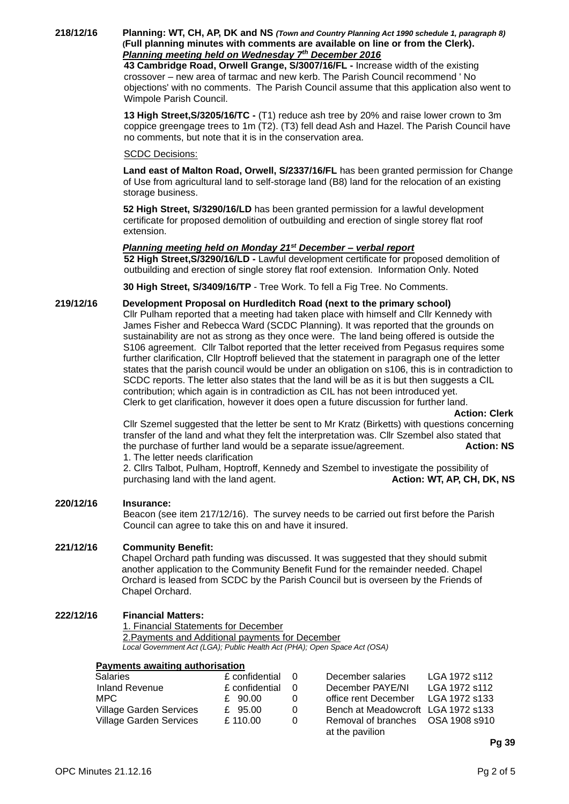**218/12/16 Planning: WT, CH, AP, DK and NS** *(Town and Country Planning Act 1990 schedule 1, paragraph 8)* **(Full planning minutes with comments are available on line or from the Clerk).**  *Planning meeting held on Wednesday 7th December 2016*

**43 Cambridge Road, Orwell Grange, S/3007/16/FL -** Increase width of the existing crossover – new area of tarmac and new kerb. The Parish Council recommend ' No objections' with no comments. The Parish Council assume that this application also went to Wimpole Parish Council.

**13 High Street,S/3205/16/TC -** (T1) reduce ash tree by 20% and raise lower crown to 3m coppice greengage trees to 1m (T2). (T3) fell dead Ash and Hazel. The Parish Council have no comments, but note that it is in the conservation area.

### SCDC Decisions:

**Land east of Malton Road, Orwell, S/2337/16/FL** has been granted permission for Change of Use from agricultural land to self-storage land (B8) land for the relocation of an existing storage business.

**52 High Street, S/3290/16/LD** has been granted permission for a lawful development certificate for proposed demolition of outbuilding and erection of single storey flat roof extension.

### *Planning meeting held on Monday 21st December – verbal report*

**52 High Street,S/3290/16/LD -** Lawful development certificate for proposed demolition of outbuilding and erection of single storey flat roof extension. Information Only. Noted

**30 High Street, S/3409/16/TP** - Tree Work. To fell a Fig Tree. No Comments.

### **219/12/16 Development Proposal on Hurdleditch Road (next to the primary school)**

Cllr Pulham reported that a meeting had taken place with himself and Cllr Kennedy with James Fisher and Rebecca Ward (SCDC Planning). It was reported that the grounds on sustainability are not as strong as they once were. The land being offered is outside the S106 agreement. Cllr Talbot reported that the letter received from Pegasus requires some further clarification, Cllr Hoptroff believed that the statement in paragraph one of the letter states that the parish council would be under an obligation on s106, this is in contradiction to SCDC reports. The letter also states that the land will be as it is but then suggests a CIL contribution; which again is in contradiction as CIL has not been introduced yet. Clerk to get clarification, however it does open a future discussion for further land.

 **Action: Clerk**

Cllr Szemel suggested that the letter be sent to Mr Kratz (Birketts) with questions concerning transfer of the land and what they felt the interpretation was. Cllr Szembel also stated that the purchase of further land would be a separate issue/agreement. **Action: NS** 1. The letter needs clarification

2. Cllrs Talbot, Pulham, Hoptroff, Kennedy and Szembel to investigate the possibility of purchasing land with the land agent. **Action: WT, AP, CH, DK, NS** 

#### **220/12/16 Insurance:**

Beacon (see item 217/12/16). The survey needs to be carried out first before the Parish Council can agree to take this on and have it insured.

### **221/12/16 Community Benefit:**

Chapel Orchard path funding was discussed. It was suggested that they should submit another application to the Community Benefit Fund for the remainder needed. Chapel Orchard is leased from SCDC by the Parish Council but is overseen by the Friends of Chapel Orchard.

# **222/12/16 Financial Matters:**

1. Financial Statements for December 2.Payments and Additional payments for December *Local Government Act (LGA); Public Health Act (PHA); Open Space Act (OSA)*

#### **Payments awaiting authorisation**

| <b>Salaries</b>                | £ confidential |          | December salaries                                    | LGA 1972 s112 |
|--------------------------------|----------------|----------|------------------------------------------------------|---------------|
| <b>Inland Revenue</b>          | £ confidential |          | December PAYE/NI                                     | LGA 1972 s112 |
| MPC.                           | £ 90.00        |          | office rent December                                 | LGA 1972 s133 |
| Village Garden Services        | £ 95.00        | $\Omega$ | Bench at Meadowcroft LGA 1972 s133                   |               |
| <b>Village Garden Services</b> | £110.00        | 0        | Removal of branches OSA 1908 s910<br>at the pavilion |               |

**Pg 39**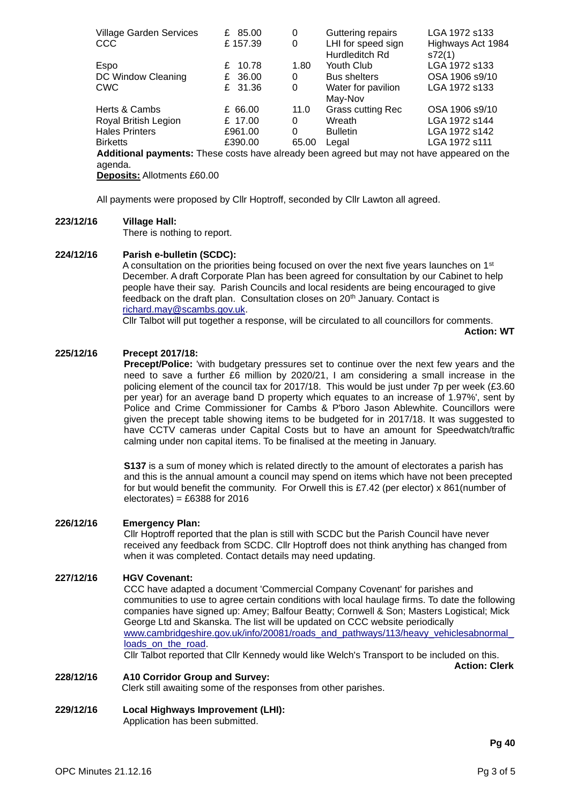| <b>Village Garden Services</b>                                                             | 85.00<br>£ | 0     | Guttering repairs        | LGA 1972 s133     |
|--------------------------------------------------------------------------------------------|------------|-------|--------------------------|-------------------|
| CCC                                                                                        | £157.39    | 0     | LHI for speed sign       | Highways Act 1984 |
|                                                                                            |            |       | Hurdleditch Rd           | s72(1)            |
| Espo                                                                                       | 10.78<br>£ | 1.80  | Youth Club               | LGA 1972 s133     |
| DC Window Cleaning                                                                         | £ 36.00    | 0     | <b>Bus shelters</b>      | OSA 1906 s9/10    |
| CWC                                                                                        | £ 31.36    | 0     | Water for pavilion       | LGA 1972 s133     |
|                                                                                            |            |       | May-Nov                  |                   |
| Herts & Cambs                                                                              | £ 66.00    | 11.0  | <b>Grass cutting Rec</b> | OSA 1906 s9/10    |
| Royal British Legion                                                                       | £ 17.00    | 0     | Wreath                   | LGA 1972 s144     |
| Hales Printers                                                                             | £961.00    | 0     | <b>Bulletin</b>          | LGA 1972 s142     |
| Birketts                                                                                   | £390.00    | 65.00 | Legal                    | LGA 1972 s111     |
| Additional payments: These costs have already been agreed but may not have appeared on the |            |       |                          |                   |
| agenda.                                                                                    |            |       |                          |                   |

**Deposits:** Allotments £60.00

All payments were proposed by Cllr Hoptroff, seconded by Cllr Lawton all agreed.

### **223/12/16 Village Hall:**

There is nothing to report.

## **224/12/16 Parish e-bulletin (SCDC):**

A consultation on the priorities being focused on over the next five years launches on 1<sup>st</sup> December. A draft Corporate Plan has been agreed for consultation by our Cabinet to help people have their say. Parish Councils and local residents are being encouraged to give feedback on the draft plan. Consultation closes on 20<sup>th</sup> January. Contact is [richard.may@scambs.gov.uk.](mailto:richard.may@scambs.gov.uk)

Cllr Talbot will put together a response, will be circulated to all councillors for comments.

**Action: WT**

## **225/12/16 Precept 2017/18:**

**Precept/Police:** 'with budgetary pressures set to continue over the next few years and the need to save a further £6 million by 2020/21, I am considering a small increase in the policing element of the council tax for 2017/18. This would be just under 7p per week (£3.60 per year) for an average band D property which equates to an increase of 1.97%', sent by Police and Crime Commissioner for Cambs & P'boro Jason Ablewhite. Councillors were given the precept table showing items to be budgeted for in 2017/18. It was suggested to have CCTV cameras under Capital Costs but to have an amount for Speedwatch/traffic calming under non capital items. To be finalised at the meeting in January.

**S137** is a sum of money which is related directly to the amount of electorates a parish has and this is the annual amount a council may spend on items which have not been precepted for but would benefit the community. For Orwell this is £7.42 (per elector) x 861(number of electorates) =  $£6388$  for 2016

### **226/12/16 Emergency Plan:**

Cllr Hoptroff reported that the plan is still with SCDC but the Parish Council have never received any feedback from SCDC. Cllr Hoptroff does not think anything has changed from when it was completed. Contact details may need updating.

# **227/12/16 HGV Covenant:**

CCC have adapted a document 'Commercial Company Covenant' for parishes and communities to use to agree certain conditions with local haulage firms. To date the following companies have signed up: Amey; Balfour Beatty; Cornwell & Son; Masters Logistical; Mick George Ltd and Skanska. The list will be updated on CCC website periodically www.cambridgeshire.gov.uk/info/20081/roads\_and\_pathways/113/heavy\_vehiclesabnormal [loads\\_on\\_the\\_road.](http://www.cambridgeshire.gov.uk/info/20081/roads_and_pathways/113/heavy_vehiclesabnormal_loads_on_the_road)

Cllr Talbot reported that Cllr Kennedy would like Welch's Transport to be included on this. **Action: Clerk**

### **228/12/16 A10 Corridor Group and Survey:**

Clerk still awaiting some of the responses from other parishes.

# **229/12/16 Local Highways Improvement (LHI):**

Application has been submitted.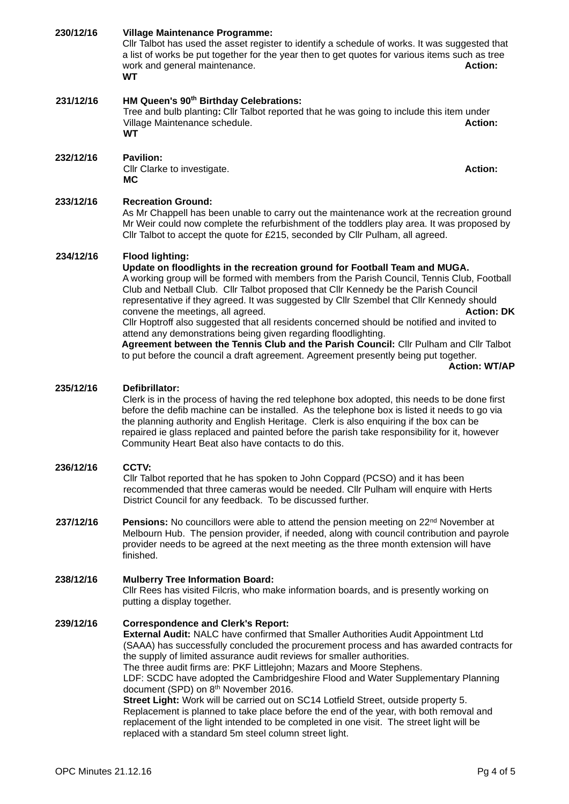| 230/12/16 | <b>Village Maintenance Programme:</b><br>Cllr Talbot has used the asset register to identify a schedule of works. It was suggested that<br>a list of works be put together for the year then to get quotes for various items such as tree<br>work and general maintenance.<br><b>WT</b>                                                                                                                                                                                                                                                                                                                                                                                                                                                                                                | <b>Action:</b>                            |  |  |
|-----------|----------------------------------------------------------------------------------------------------------------------------------------------------------------------------------------------------------------------------------------------------------------------------------------------------------------------------------------------------------------------------------------------------------------------------------------------------------------------------------------------------------------------------------------------------------------------------------------------------------------------------------------------------------------------------------------------------------------------------------------------------------------------------------------|-------------------------------------------|--|--|
| 231/12/16 | HM Queen's 90 <sup>th</sup> Birthday Celebrations:<br>Tree and bulb planting: Cllr Talbot reported that he was going to include this item under<br>Village Maintenance schedule.<br><b>WT</b>                                                                                                                                                                                                                                                                                                                                                                                                                                                                                                                                                                                          | <b>Action:</b>                            |  |  |
| 232/12/16 | Pavilion:<br>Cllr Clarke to investigate.<br>МC                                                                                                                                                                                                                                                                                                                                                                                                                                                                                                                                                                                                                                                                                                                                         | <b>Action:</b>                            |  |  |
| 233/12/16 | <b>Recreation Ground:</b><br>As Mr Chappell has been unable to carry out the maintenance work at the recreation ground<br>Mr Weir could now complete the refurbishment of the toddlers play area. It was proposed by<br>Cllr Talbot to accept the quote for £215, seconded by Cllr Pulham, all agreed.                                                                                                                                                                                                                                                                                                                                                                                                                                                                                 |                                           |  |  |
| 234/12/16 | <b>Flood lighting:</b><br>Update on floodlights in the recreation ground for Football Team and MUGA.<br>A working group will be formed with members from the Parish Council, Tennis Club, Football<br>Club and Netball Club. Cllr Talbot proposed that Cllr Kennedy be the Parish Council<br>representative if they agreed. It was suggested by Cllr Szembel that Cllr Kennedy should<br>convene the meetings, all agreed.<br>CIIr Hoptroff also suggested that all residents concerned should be notified and invited to<br>attend any demonstrations being given regarding floodlighting.<br>Agreement between the Tennis Club and the Parish Council: Cllr Pulham and Cllr Talbot<br>to put before the council a draft agreement. Agreement presently being put together.           | <b>Action: DK</b><br><b>Action: WT/AP</b> |  |  |
| 235/12/16 | Defibrillator:<br>Clerk is in the process of having the red telephone box adopted, this needs to be done first<br>before the defib machine can be installed. As the telephone box is listed it needs to go via<br>the planning authority and English Heritage. Clerk is also enquiring if the box can be<br>repaired ie glass replaced and painted before the parish take responsibility for it, however<br>Community Heart Beat also have contacts to do this.                                                                                                                                                                                                                                                                                                                        |                                           |  |  |
| 236/12/16 | CCTV:<br>Cllr Talbot reported that he has spoken to John Coppard (PCSO) and it has been<br>recommended that three cameras would be needed. Cllr Pulham will enquire with Herts<br>District Council for any feedback. To be discussed further.                                                                                                                                                                                                                                                                                                                                                                                                                                                                                                                                          |                                           |  |  |
| 237/12/16 | <b>Pensions:</b> No councillors were able to attend the pension meeting on 22 <sup>nd</sup> November at<br>Melbourn Hub. The pension provider, if needed, along with council contribution and payrole<br>provider needs to be agreed at the next meeting as the three month extension will have<br>finished.                                                                                                                                                                                                                                                                                                                                                                                                                                                                           |                                           |  |  |
| 238/12/16 | <b>Mulberry Tree Information Board:</b><br>CIIr Rees has visited Filcris, who make information boards, and is presently working on<br>putting a display together.                                                                                                                                                                                                                                                                                                                                                                                                                                                                                                                                                                                                                      |                                           |  |  |
| 239/12/16 | <b>Correspondence and Clerk's Report:</b><br>External Audit: NALC have confirmed that Smaller Authorities Audit Appointment Ltd<br>(SAAA) has successfully concluded the procurement process and has awarded contracts for<br>the supply of limited assurance audit reviews for smaller authorities.<br>The three audit firms are: PKF Littlejohn; Mazars and Moore Stephens.<br>LDF: SCDC have adopted the Cambridgeshire Flood and Water Supplementary Planning<br>document (SPD) on 8th November 2016.<br>Street Light: Work will be carried out on SC14 Lotfield Street, outside property 5.<br>Replacement is planned to take place before the end of the year, with both removal and<br>replacement of the light intended to be completed in one visit. The street light will be |                                           |  |  |